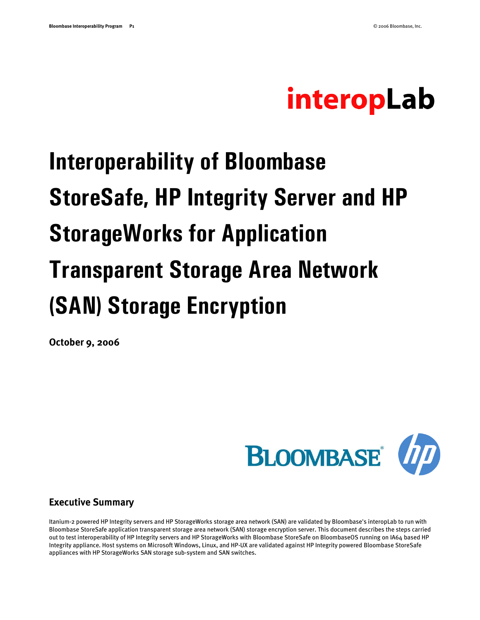# interopLab

# **Interoperability of Bloombase StoreSafe, HP Integrity Server and HP StorageWorks for Application Transparent Storage Area Network (SAN) Storage Encryption**

**October 9, 2006**



#### **Executive Summary**

Itanium-2 powered HP Integrity servers and HP StorageWorks storage area network (SAN) are validated by Bloombase's interopLab to run with Bloombase StoreSafe application transparent storage area network (SAN) storage encryption server. This document describes the steps carried out to test interoperability of HP Integrity servers and HP StorageWorks with Bloombase StoreSafe on BloombaseOS running on IA64 based HP Integrity appliance. Host systems on Microsoft Windows, Linux, and HP-UX are validated against HP Integrity powered Bloombase StoreSafe appliances with HP StorageWorks SAN storage sub-system and SAN switches.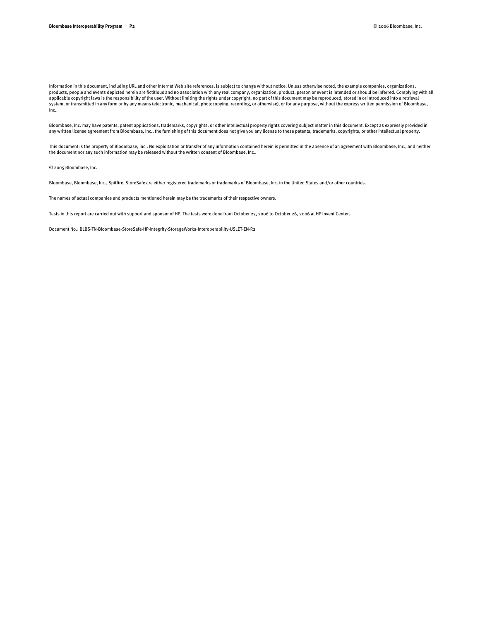Information in this document, including URL and other Internet Web site references, is subject to change without notice. Unless otherwise noted, the example companies, organizations, products, people and events depicted herein are fictitious and no association with any real company, organization, product, person or event is intended or should be inferred. Complying with all applicable copyright laws is the responsibility of the user. Without limiting the rights under copyright, no part of this document may be reproduced, stored in or introduced into a retrieval<br>system, or transmitted in any f Inc..

Bloombase, Inc. may have patents, patent applications, trademarks, copyrights, or other intellectual property rights covering subject matter in this document. Except as expressly provided in<br>any written license agreement f

This document is the property of Bloombase, Inc.. No exploitation or transfer of any information contained herein is permitted in the absence of an agreement with Bloombase, Inc., and neither the document nor any such information may be released without the written consent of Bloombase, Inc..

© 2005 Bloombase, Inc.

Bloombase, Bloombase, Inc., Spitfire, StoreSafe are either registered trademarks or trademarks of Bloombase, Inc. in the United States and/or other countries.

The names of actual companies and products mentioned herein may be the trademarks of their respective owners.

Tests in this report are carried out with support and sponsor of HP. The tests were done from October 23, 2006 to October 26, 2006 at HP Invent Center.

Document No.: BLBS-TN-Bloombase-StoreSafe-HP-Integrity-StorageWorks-Interoperability-USLET-EN-R2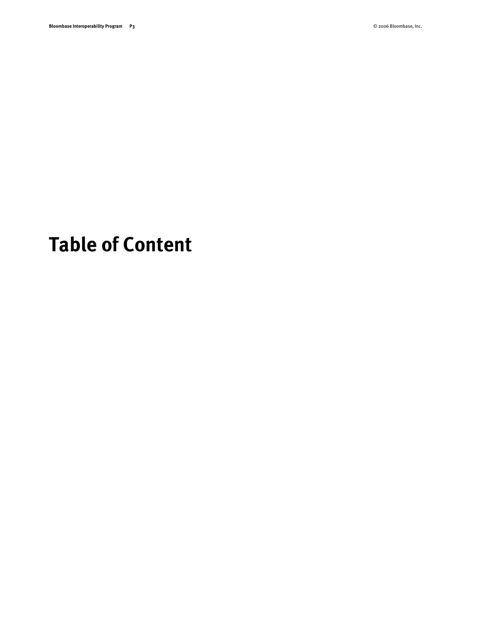## <span id="page-2-0"></span>**Table of Content**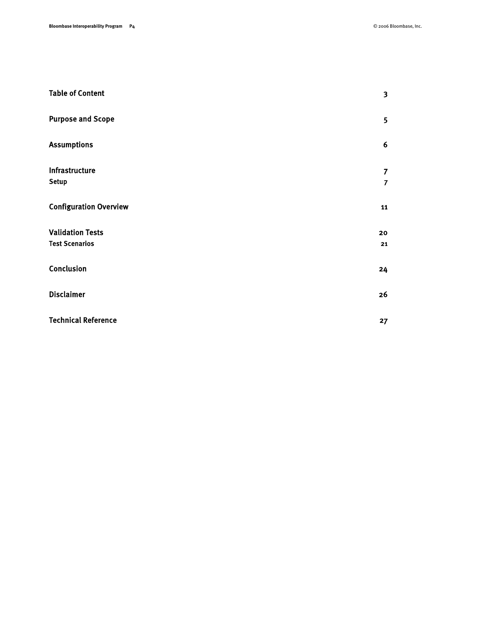| <b>Table of Content</b>                          | $\overline{\mathbf{3}}$          |
|--------------------------------------------------|----------------------------------|
| <b>Purpose and Scope</b>                         | 5                                |
| <b>Assumptions</b>                               | 6                                |
| Infrastructure<br><b>Setup</b>                   | $\overline{7}$<br>$\overline{7}$ |
| <b>Configuration Overview</b>                    | 11                               |
| <b>Validation Tests</b><br><b>Test Scenarios</b> | 20<br>21                         |
| Conclusion                                       | 24                               |
| <b>Disclaimer</b>                                | 26                               |
| <b>Technical Reference</b>                       | 27                               |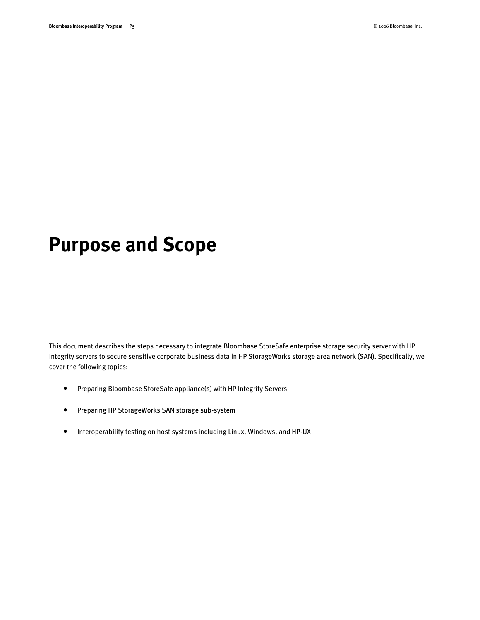### <span id="page-4-0"></span>**Purpose and Scope**

This document describes the steps necessary to integrate Bloombase StoreSafe enterprise storage security server with HP Integrity servers to secure sensitive corporate business data in HP StorageWorks storage area network (SAN). Specifically, we cover the following topics:

- Preparing Bloombase StoreSafe appliance(s) with HP Integrity Servers
- Preparing HP StorageWorks SAN storage sub-system
- Interoperability testing on host systems including Linux, Windows, and HP-UX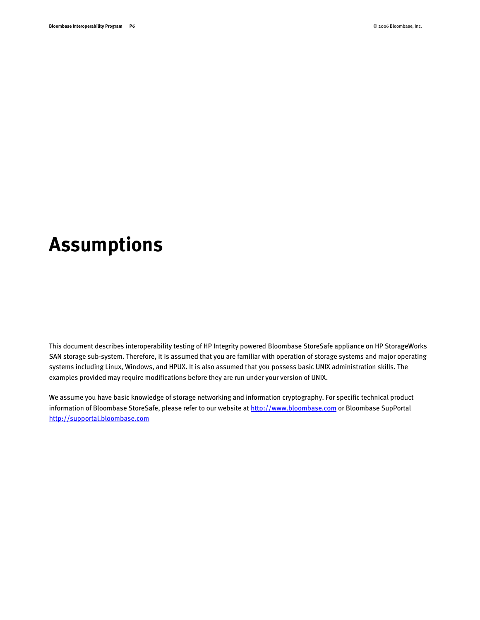### <span id="page-5-0"></span>**Assumptions**

This document describes interoperability testing of HP Integrity powered Bloombase StoreSafe appliance on HP StorageWorks SAN storage sub-system. Therefore, it is assumed that you are familiar with operation of storage systems and major operating systems including Linux, Windows, and HPUX. It is also assumed that you possess basic UNIX administration skills. The examples provided may require modifications before they are run under your version of UNIX.

We assume you have basic knowledge of storage networking and information cryptography. For specific technical product information of Bloombase StoreSafe, please refer to our website at [http://www.bloombase.com](http://www.bloombase.com/) or Bloombase SupPortal [http://supportal.bloombase.com](http://supportal.bloombase.com/)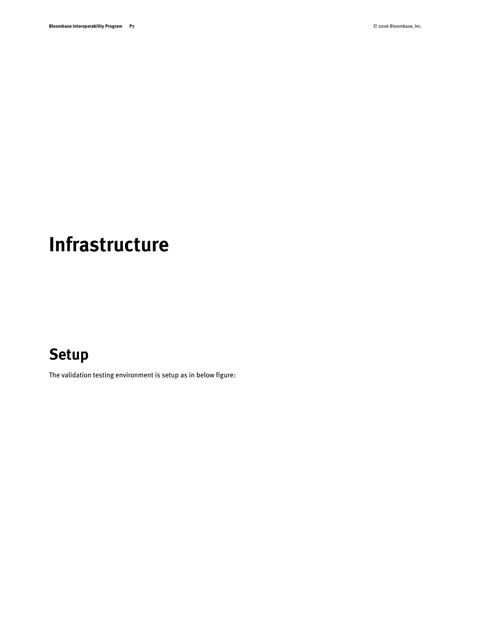## <span id="page-6-0"></span>**Infrastructure**

### <span id="page-6-1"></span>**Setup**

The validation testing environment is setup as in below figure: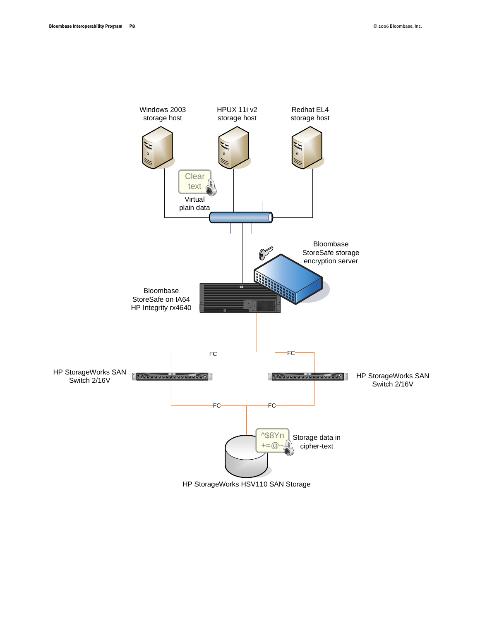

HP StorageWorks HSV110 SAN Storage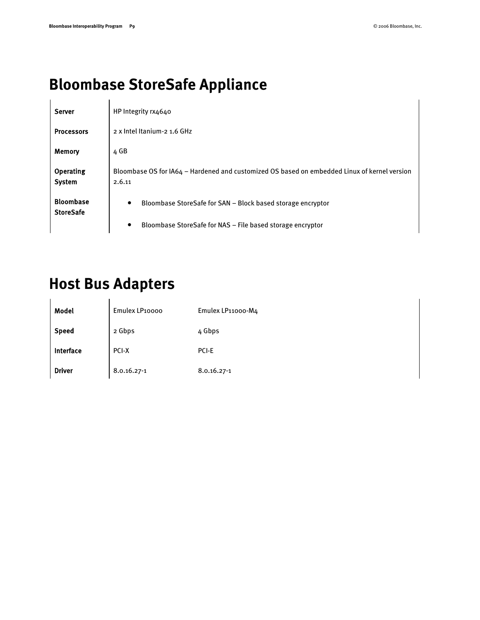### **Bloombase StoreSafe Appliance**

| <b>Server</b>                        | HP Integrity rx4640                                                                                    |
|--------------------------------------|--------------------------------------------------------------------------------------------------------|
| <b>Processors</b>                    | 2 x Intel Itanium-2 1.6 GHz                                                                            |
| Memory                               | 4 GB                                                                                                   |
| <b>Operating</b><br><b>System</b>    | Bloombase OS for IA64 - Hardened and customized OS based on embedded Linux of kernel version<br>2.6.11 |
| <b>Bloombase</b><br><b>StoreSafe</b> | Bloombase StoreSafe for SAN - Block based storage encryptor<br>$\bullet$                               |
|                                      | Bloombase StoreSafe for NAS - File based storage encryptor<br>$\bullet$                                |

#### **Host Bus Adapters**

| Model         | Emulex LP10000 | Emulex LP11000-M4 |
|---------------|----------------|-------------------|
| <b>Speed</b>  | 2 Gbps         | 4 Gbps            |
| Interface     | PCI-X          | PCI-E             |
| <b>Driver</b> | 8.0.16.27-1    | 8.0.16.27-1       |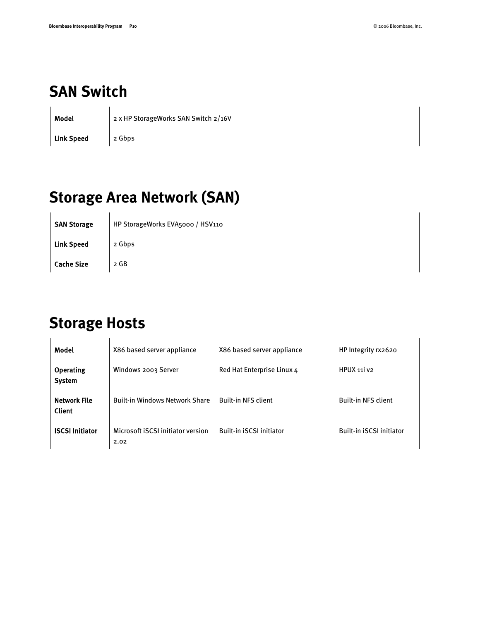#### **SAN Switch**

Model 2 x HP StorageWorks SAN Switch 2/16V

Link Speed 2 Gbps

### **Storage Area Network (SAN)**

SAN Storage | HP StorageWorks EVA5000 / HSV110 Link Speed 2 Gbps Cache Size 2 GB

#### **Storage Hosts**

| Model                                | X86 based server appliance                | X86 based server appliance      | HP Integrity rx2620             |
|--------------------------------------|-------------------------------------------|---------------------------------|---------------------------------|
| <b>Operating</b><br><b>System</b>    | Windows 2003 Server                       | Red Hat Enterprise Linux 4      | HPUX 111 V2                     |
| <b>Network File</b><br><b>Client</b> | <b>Built-in Windows Network Share</b>     | <b>Built-in NFS client</b>      | <b>Built-in NFS client</b>      |
| <b>ISCSI Initiator</b>               | Microsoft ISCSI initiator version<br>2.02 | <b>Built-in ISCSI initiator</b> | <b>Built-in ISCSI initiator</b> |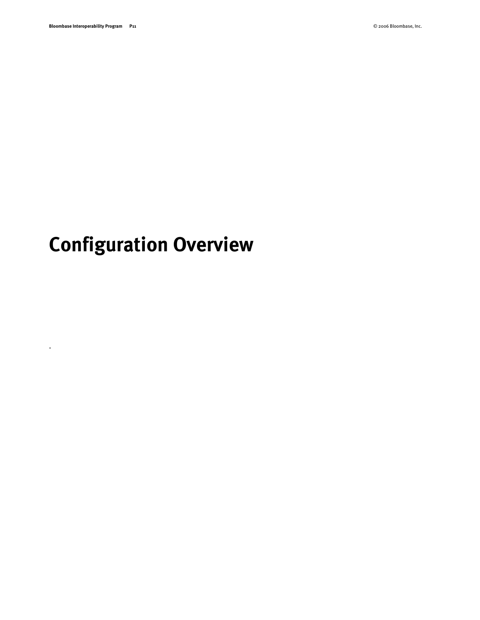.

# <span id="page-10-0"></span>**Configuration Overview**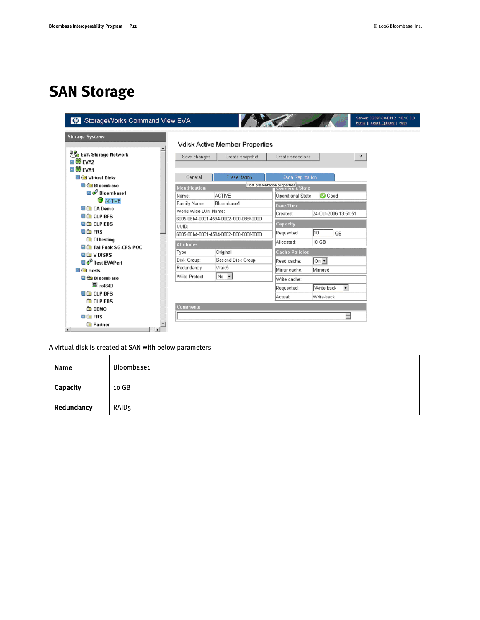#### **SAN Storage**

|                                                  |                       | Vdisk Active Member Properties          |                              |                      |                      |  |
|--------------------------------------------------|-----------------------|-----------------------------------------|------------------------------|----------------------|----------------------|--|
| <b>Do</b> EVA Storage Network                    |                       |                                         |                              |                      |                      |  |
| <b>BIB EVAZ</b>                                  | Save changes          | Create snapshot                         | Create snapcione             |                      | $\overline{?}$       |  |
| ■ 第 EVA1                                         |                       |                                         |                              |                      |                      |  |
| <b>Ca</b> Virtual Disks                          | General               | <b>Presentation</b>                     | Data Replication             |                      |                      |  |
| <b>Bloombase</b>                                 | <b>Identification</b> |                                         | Host presentation properties |                      |                      |  |
| <b>Bloombase1</b>                                | Name:                 | <b>ACTIVE</b>                           | Operational State:           | <b>C</b> Good        |                      |  |
| <b>C</b> ACTIVE                                  | Family Name:          | Bloombase1                              |                              |                      |                      |  |
| <b>D</b> CA Demo                                 | World Wide LUN Name:  |                                         | Date/Time                    |                      |                      |  |
| <b>ED</b> CLP BFS                                |                       | 6005-08b4-0001-4594-0002-f000-088f-0000 | Created:                     | 24-Oct-2006 13:51:51 |                      |  |
| <b>D</b> CLP EBS                                 | <b>UUID:</b>          |                                         | Capacity                     |                      |                      |  |
| $+$ <b>C</b> FRS                                 |                       | 6005-08b4-0001-4594-0002-1000-088f-0000 | Requested:                   | 10<br>GB             |                      |  |
| <b>Conduction</b> OUtesting                      | <b>Attributes</b>     |                                         | Allocated:                   | 10 GB                |                      |  |
| <b>D</b> Tai Fook SG-CFS POC                     |                       | Original                                | <b>Cache Policies</b>        |                      |                      |  |
| <b>EL GELV DISKS</b>                             | Type:<br>Disk Group:  | Second Disk Group                       |                              |                      |                      |  |
| <b>D</b> $\mathbf{\hat{P}}$ Test EVAPerf         | Redundancy:           | Vraid <sub>5</sub>                      | Read cache:                  | $ On -$              |                      |  |
| $\Box$ $\bigoplus$ Hosts                         |                       |                                         | Mirror cache:                | Mirrored             |                      |  |
| <b>Bloombase</b>                                 | Write Protect:        | $\vert$ No $\vert$                      | Write cache:                 |                      |                      |  |
| 图 rx4640                                         |                       |                                         | Requested:                   | Write-back           | $\blacktriangledown$ |  |
| <b>DO</b> CLP BFS                                |                       |                                         | Actual:                      | Write-back           |                      |  |
| <b>CLP EBS</b>                                   | Comments              |                                         |                              |                      |                      |  |
| <b>DEMO</b><br>$\blacksquare$ $\blacksquare$ FRS |                       |                                         |                              |                      | ÷                    |  |

A virtual disk is created at SAN with below parameters

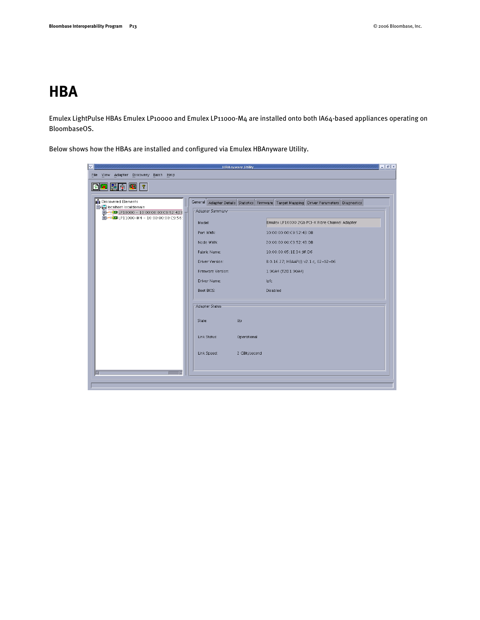#### **HBA**

Emulex LightPulse HBAs Emulex LP10000 and Emulex LP11000-M4 are installed onto both IA64-based appliances operating on BloombaseOS.

Below shows how the HBAs are installed and configured via Emulex HBAnyware Utility.

| $\overline{\mathbf{v}}$                                                                                                                 | <b>HBAnyware Utility</b>                                                                                                                                                                                                                      | $=$ $\boxed{e}$ $\boxed{\times}$                                                                                                                                                                                                                                                                                      |
|-----------------------------------------------------------------------------------------------------------------------------------------|-----------------------------------------------------------------------------------------------------------------------------------------------------------------------------------------------------------------------------------------------|-----------------------------------------------------------------------------------------------------------------------------------------------------------------------------------------------------------------------------------------------------------------------------------------------------------------------|
| File View Adapter Discovery Batch Help                                                                                                  |                                                                                                                                                                                                                                               |                                                                                                                                                                                                                                                                                                                       |
| $\boxed{\text{OR}}\ \boxed{\text{OR}}\ \boxed{\text{OR}}\ \boxed{\text{?}}$                                                             |                                                                                                                                                                                                                                               |                                                                                                                                                                                                                                                                                                                       |
| Discovered Elements<br><b>B</b> C localhost localdomain<br>FREE LP10000 - 10:00:00:00:C9:52:43:I<br>FEE LP11000-M4 - 10:00:00:00:C9:56: | Adapter Summary-<br>Model:<br>Port WWN:<br>Node WWN:<br>Fabric Name:<br>Driver Version:<br>Firmware Version:<br>Driver Name:<br>Boot BIOS:<br>-Adapter Status-<br>Up<br>State:<br>Link Status:<br>Operational<br>Link Speed:<br>2 GBit/second | General Adapter Details Statistics Firmware Target Mapping Driver Parameters Diagnostics<br>Emulex LP10000 2Gb PCI-X Fibre Channel Adapter<br>10:00:00:00:C9:52:43:DB<br>20:00:00:00:C9:52:43:DB<br>10:00:00:05:1E:34:9F:D6<br>8.0.16.27; HBAAPI(I) v2.1.c, 02-02-06<br>1.90A4 (T2D1.90A4)<br>Ipfc<br><b>Disabled</b> |
|                                                                                                                                         |                                                                                                                                                                                                                                               |                                                                                                                                                                                                                                                                                                                       |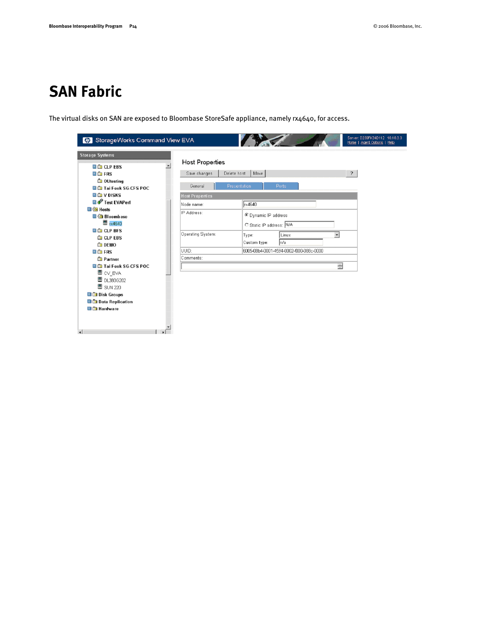#### **SAN Fabric**

The virtual disks on SAN are exposed to Bloombase StoreSafe appliance, namely rx4640, for access.

| StorageWorks Command View EVA        |                                |                                         | Server: D239FK34D112 10.10.3.3<br>Horne   Agent Options   Help |
|--------------------------------------|--------------------------------|-----------------------------------------|----------------------------------------------------------------|
| <b>Storage Systems</b>               |                                |                                         |                                                                |
| <b>D</b> CLP EBS                     | <b>Host Properties</b>         |                                         |                                                                |
| <b>B G</b> FRS                       | Save changes<br>Delete host    | Move                                    | $\overline{?}$                                                 |
| <b>Co</b> OUtesting                  |                                |                                         |                                                                |
| <b>D</b> Tai Fook SG-CFS POC         | <b>Presentation</b><br>General | Ports                                   |                                                                |
| <b>DIG V DISKS</b>                   | <b>Host Properties</b>         |                                         |                                                                |
| <b>D</b> o <sup>p</sup> Test EVAPerf | Node name:                     | rx4640                                  |                                                                |
| $\blacksquare$ $\blacksquare$ Hosts  | IP Address:                    |                                         |                                                                |
| <b>Bloombase</b>                     |                                | O Dynamic IP address                    |                                                                |
| $\equiv$ rx4640                      |                                | C Static IP address: N/A                |                                                                |
| <b>CLP BFS</b>                       | Operating System:              | Linux                                   | $\overline{\phantom{a}}$                                       |
| <b>CLP EBS</b>                       |                                | Type:                                   |                                                                |
| <b>DEMO</b>                          |                                | ∣n∕a<br>Custom type:                    |                                                                |
| <b>BIG</b> FRS                       | UUID:                          | 6005-08b4-0001-4594-0002-f000-088c-0000 |                                                                |
| <b>Partner</b>                       | Comments:                      |                                         |                                                                |
| <b>D</b> Tai Fook SG-CFS POC         |                                |                                         | $\frac{ \mathbf{x} }{\ \mathbf{x}\ }$                          |
| ■ cV_EVA                             |                                |                                         |                                                                |
| <b>图 DL380G202</b>                   |                                |                                         |                                                                |
| <b>图 SUN 220</b>                     |                                |                                         |                                                                |
| <b>Disk Groups</b>                   |                                |                                         |                                                                |
| <b>D</b> Data Replication            |                                |                                         |                                                                |
| <b>Di</b> Hardware                   |                                |                                         |                                                                |
|                                      |                                |                                         |                                                                |
|                                      |                                |                                         |                                                                |
| $\left  \cdot \right $               |                                |                                         |                                                                |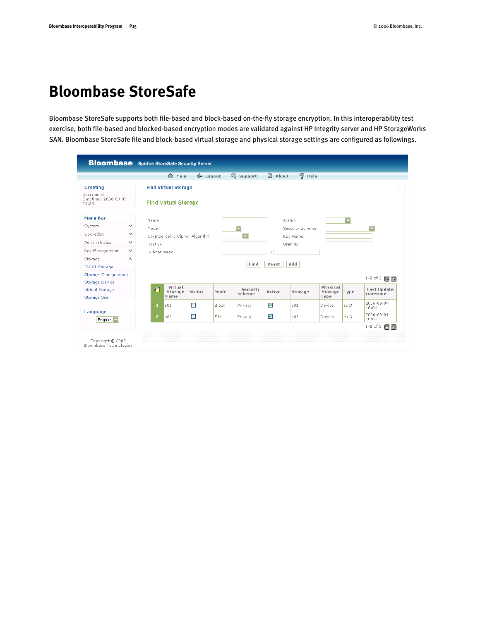#### **Bloombase StoreSafe**

Bloombase StoreSafe supports both file-based and block-based on-the-fly storage encryption. In this interoperability test exercise, both file-based and blocked-based encryption modes are validated against HP Integrity server and HP StorageWorks SAN. Bloombase StoreSafe file and block-based virtual storage and physical storage settings are configured as followings.

| <b>Bloombase</b> Spitfire StoreSafe Security Server |              |                |                                |                 |       |                         |                      |                    |          |                         |                         |
|-----------------------------------------------------|--------------|----------------|--------------------------------|-----------------|-------|-------------------------|----------------------|--------------------|----------|-------------------------|-------------------------|
|                                                     |              |                | ∩ Main                         | <b>E</b> Logout |       | <b>Q</b> Support        | a) About             | $\mathcal{D}$ Help |          |                         |                         |
| Greeting                                            |              |                | <b>Find Virtual Storage</b>    |                 |       |                         |                      |                    |          |                         |                         |
| User: admin.<br>Datetime: 2006-09-09<br>21:25       |              |                | <b>Find Virtual Storage</b>    |                 |       |                         |                      |                    |          |                         |                         |
| <b>Menu Bar</b>                                     | ∧.           | Name           |                                |                 |       |                         |                      | Status             |          | $\overline{\mathbf{v}}$ |                         |
| System                                              | $\checkmark$ | Mode           |                                |                 |       | $\overline{\mathbf{v}}$ |                      | Security Scheme    |          |                         | $\overline{\mathbf{v}}$ |
| Operation                                           | $\checkmark$ |                | Cryptographic Cipher Algorithm |                 |       | $\overline{\mathbf{v}}$ |                      | Key Name           |          |                         |                         |
| Administration                                      | $\checkmark$ | Host IP        |                                |                 |       |                         |                      | User ID            |          |                         |                         |
| Key Management                                      | $\checkmark$ | Subnet Mask    |                                |                 |       |                         |                      |                    |          |                         |                         |
| Storage                                             | $\wedge$     |                |                                |                 |       |                         |                      |                    |          |                         |                         |
| <b>ISCSI Storage</b>                                |              |                |                                |                 |       | Find                    | Reset                | Add                |          |                         |                         |
| <b>Storage Configuration</b>                        |              |                |                                |                 |       |                         |                      |                    |          |                         | 1-2 of 2 $\blacksquare$ |
| <b>Storage Device</b>                               |              |                | Virtual                        |                 |       |                         |                      |                    | Physical |                         |                         |
| Virtual Storage                                     |              | 石              | Storage                        | Status          | Mode  | Security<br>Scheme      | Active               | Storage            | Storage  | Type                    | Last Update<br>Datetime |
| Storage User                                        |              |                | Name                           |                 |       |                         |                      |                    | Type     |                         | 2006-09-09              |
| Language                                            |              | $\mathbf{1}$   | s01                            | $\Box$          | Block | Privacy                 | ⊽                    | 501                | Device   | $ext{3}$                | 16:06                   |
|                                                     |              | 2 <sup>1</sup> | s02                            | П               | File  | Privacy                 | $\blacktriangledown$ | 502                | Device   | ext3                    | 2006-09-09<br>16:06     |
| English V                                           |              |                |                                |                 |       |                         |                      |                    |          |                         | $1 - 2$ of 2<br>EG      |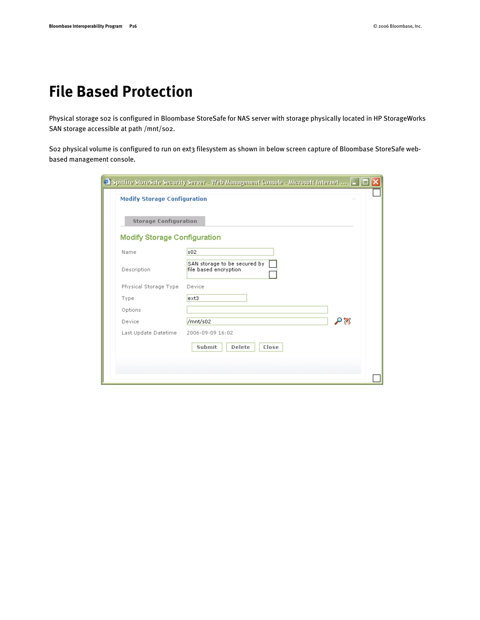#### **File Based Protection**

Physical storage s02 is configured in Bloombase StoreSafe for NAS server with storage physically located in HP StorageWorks SAN storage accessible at path /mnt/s02.

So2 physical volume is configured to run on ext3 filesystem as shown in below screen capture of Bloombase StoreSafe webbased management console.

| <b>Storage Configuration</b>        |                                                       |               |
|-------------------------------------|-------------------------------------------------------|---------------|
| <b>Modify Storage Configuration</b> |                                                       |               |
| Name                                | s02                                                   |               |
| Description                         | SAN storage to be secured by<br>file based encryption |               |
| Physical Storage Type               | Device                                                |               |
| Type                                | $ext{3}$                                              |               |
| Options                             |                                                       |               |
| Device                              | /mnt/s02                                              | $\mathcal{P}$ |
| Last Update Datetime                | 2006-09-09 16:02                                      |               |
|                                     | Submit<br>Delete<br>Close                             |               |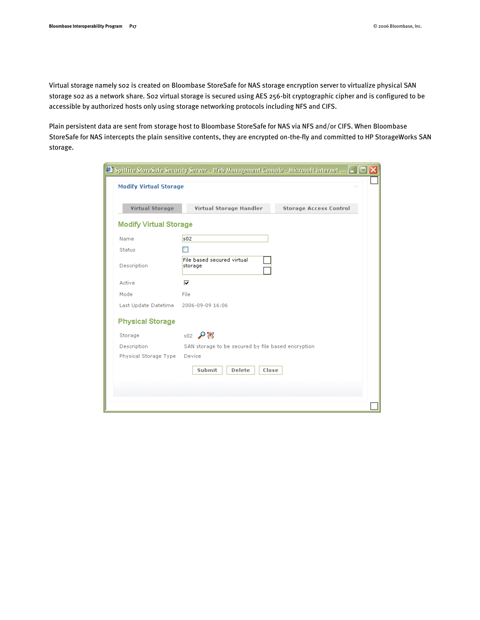Virtual storage namely s02 is created on Bloombase StoreSafe for NAS storage encryption server to virtualize physical SAN storage s02 as a network share. S02 virtual storage is secured using AES 256-bit cryptographic cipher and is configured to be accessible by authorized hosts only using storage networking protocols including NFS and CIFS.

Plain persistent data are sent from storage host to Bloombase StoreSafe for NAS via NFS and/or CIFS. When Bloombase StoreSafe for NAS intercepts the plain sensitive contents, they are encrypted on-the-fly and committed to HP StorageWorks SAN storage.

| <b>Modify Virtual Storage</b><br><b>Virtual Storage</b><br>Virtual Storage Handler<br><b>Storage Access Control</b><br>502<br>File based secured virtual<br>storage<br>⊽<br>File<br>2006-09-09 16:06<br>$502$ $\sqrt{8}$<br>SAN storage to be secured by file based encryption.<br>Device<br>Submit<br>Delete<br>Close |        | $\bullet$ Spitfire StoreSafe Security Server - Web Management Console - Microsoft Internet $$ $\Box\, \Box\, {\bf X}\, $ |
|------------------------------------------------------------------------------------------------------------------------------------------------------------------------------------------------------------------------------------------------------------------------------------------------------------------------|--------|--------------------------------------------------------------------------------------------------------------------------|
|                                                                                                                                                                                                                                                                                                                        |        |                                                                                                                          |
| <b>Modify Virtual Storage</b><br>Name                                                                                                                                                                                                                                                                                  |        |                                                                                                                          |
|                                                                                                                                                                                                                                                                                                                        |        |                                                                                                                          |
|                                                                                                                                                                                                                                                                                                                        |        |                                                                                                                          |
| Description<br>Active<br>Mode<br>Last Update Datetime<br><b>Physical Storage</b><br>Storage<br>Description<br>Physical Storage Type                                                                                                                                                                                    | Status |                                                                                                                          |
|                                                                                                                                                                                                                                                                                                                        |        |                                                                                                                          |
|                                                                                                                                                                                                                                                                                                                        |        |                                                                                                                          |
|                                                                                                                                                                                                                                                                                                                        |        |                                                                                                                          |
|                                                                                                                                                                                                                                                                                                                        |        |                                                                                                                          |
|                                                                                                                                                                                                                                                                                                                        |        |                                                                                                                          |
|                                                                                                                                                                                                                                                                                                                        |        |                                                                                                                          |
|                                                                                                                                                                                                                                                                                                                        |        |                                                                                                                          |
|                                                                                                                                                                                                                                                                                                                        |        |                                                                                                                          |
|                                                                                                                                                                                                                                                                                                                        |        |                                                                                                                          |
|                                                                                                                                                                                                                                                                                                                        |        |                                                                                                                          |
|                                                                                                                                                                                                                                                                                                                        |        |                                                                                                                          |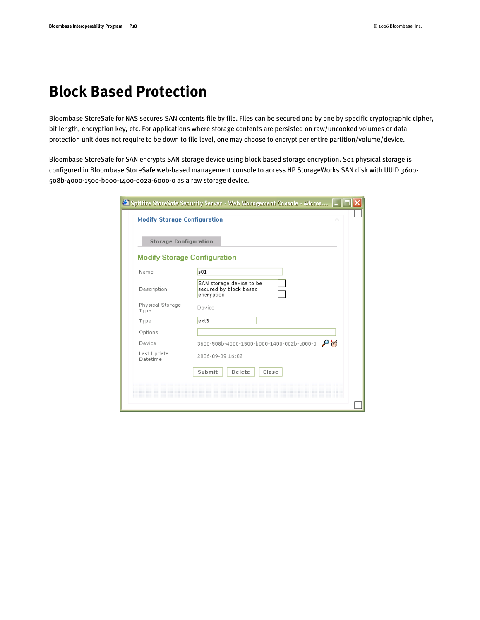#### **Block Based Protection**

Bloombase StoreSafe for NAS secures SAN contents file by file. Files can be secured one by one by specific cryptographic cipher, bit length, encryption key, etc. For applications where storage contents are persisted on raw/uncooked volumes or data protection unit does not require to be down to file level, one may choose to encrypt per entire partition/volume/device.

Bloombase StoreSafe for SAN encrypts SAN storage device using block based storage encryption. S01 physical storage is configured in Bloombase StoreSafe web-based management console to access HP StorageWorks SAN disk with UUID 3600- 508b-4000-1500-b000-1400-002a-6000-0 as a raw storage device.

|                                     | Spitfire StoreSafe Security Server - Web Management Console - Micros |
|-------------------------------------|----------------------------------------------------------------------|
| <b>Modify Storage Configuration</b> | ́                                                                    |
| <b>Storage Configuration</b>        |                                                                      |
| <b>Modify Storage Configuration</b> |                                                                      |
| Name                                | s01                                                                  |
| Description                         | SAN storage device to be<br>secured by block based<br>encryption     |
| Physical Storage<br>Type            | Device                                                               |
| Type                                | $ext{3}$                                                             |
| Options                             |                                                                      |
| Device                              | 3600-508b-4000-1500-b000-1400-002b-c000-0                            |
| Last Update<br>Datetime             | 2006-09-09 16:02                                                     |
|                                     | Submit<br>Delete<br>Close                                            |
|                                     |                                                                      |
|                                     |                                                                      |
|                                     |                                                                      |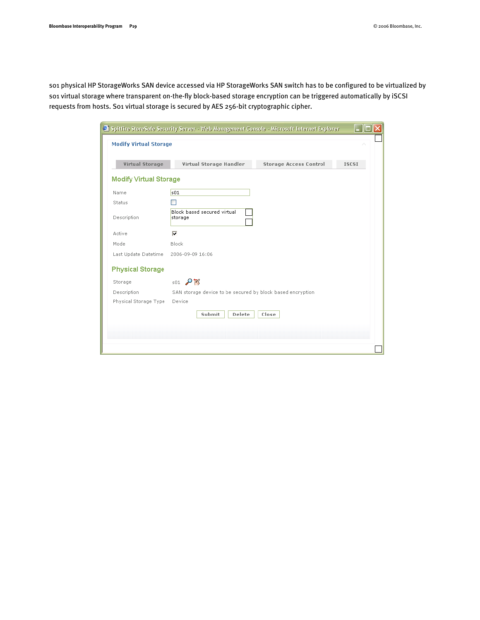s01 physical HP StorageWorks SAN device accessed via HP StorageWorks SAN switch has to be configured to be virtualized by so1 virtual storage where transparent on-the-fly block-based storage encryption can be triggered automatically by iSCSI requests from hosts. S01 virtual storage is secured by AES 256-bit cryptographic cipher.

|                               | Spitfire StoreSafe Security Server - Web Management Console - Microsoft Internet Explorer |              |
|-------------------------------|-------------------------------------------------------------------------------------------|--------------|
| <b>Modify Virtual Storage</b> |                                                                                           |              |
|                               |                                                                                           |              |
| Virtual Storage               | Virtual Storage Handler<br><b>Storage Access Control</b>                                  | <b>ISCSI</b> |
| <b>Modify Virtual Storage</b> |                                                                                           |              |
| Name                          | s01                                                                                       |              |
| Status                        |                                                                                           |              |
| Description                   | Block based secured virtual<br>storage                                                    |              |
| Active                        | ⊽                                                                                         |              |
| Mode                          | Block                                                                                     |              |
| Last Update Datetime          | 2006-09-09 16:06                                                                          |              |
| <b>Physical Storage</b>       |                                                                                           |              |
| Storage                       | $501$ $\mathcal{P}$ $\mathcal{B}$                                                         |              |
| Description                   | SAN storage device to be secured by block based encryption                                |              |
| Physical Storage Type         | Device                                                                                    |              |
|                               | Submit<br>Delete<br>Close                                                                 |              |
|                               |                                                                                           |              |
|                               |                                                                                           |              |
|                               |                                                                                           |              |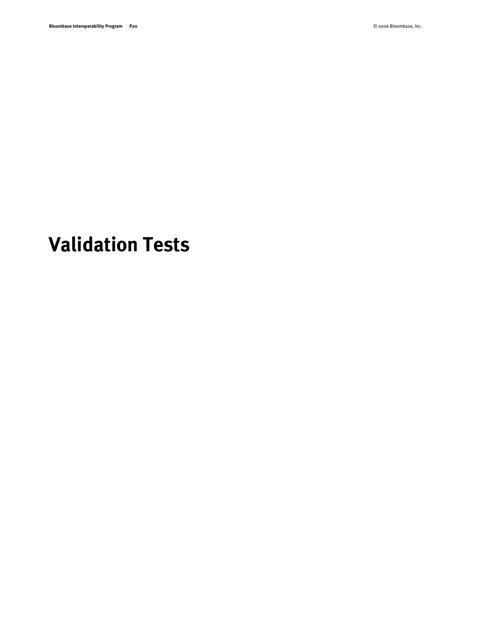## <span id="page-19-0"></span>**Validation Tests**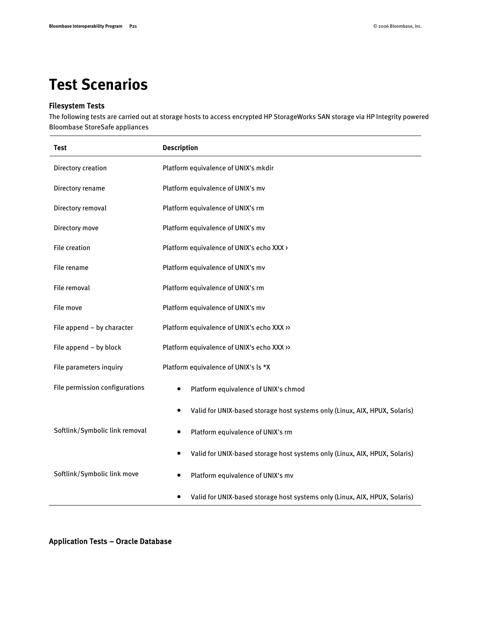#### <span id="page-20-0"></span>**Test Scenarios**

#### Filesystem Tests

The following tests are carried out at storage hosts to access encrypted HP StorageWorks SAN storage via HP Integrity powered Bloombase StoreSafe appliances

| Test                           | <b>Description</b>                                                                      |  |  |
|--------------------------------|-----------------------------------------------------------------------------------------|--|--|
| Directory creation             | Platform equivalence of UNIX's mkdir                                                    |  |  |
| Directory rename               | Platform equivalence of UNIX's mv                                                       |  |  |
| Directory removal              | Platform equivalence of UNIX's rm                                                       |  |  |
| Directory move                 | Platform equivalence of UNIX's mv                                                       |  |  |
| <b>File creation</b>           | Platform equivalence of UNIX's echo XXX >                                               |  |  |
| File rename                    | Platform equivalence of UNIX's mv                                                       |  |  |
| File removal                   | Platform equivalence of UNIX's rm                                                       |  |  |
| File move                      | Platform equivalence of UNIX's mv                                                       |  |  |
| File append - by character     | Platform equivalence of UNIX's echo XXX >>                                              |  |  |
| File append - by block         | Platform equivalence of UNIX's echo XXX >>                                              |  |  |
| File parameters inquiry        | Platform equivalence of UNIX's Is *X                                                    |  |  |
| File permission configurations | Platform equivalence of UNIX's chmod<br>$\bullet$                                       |  |  |
|                                | Valid for UNIX-based storage host systems only (Linux, AIX, HPUX, Solaris)<br>$\bullet$ |  |  |
| Softlink/Symbolic link removal | Platform equivalence of UNIX's rm<br>$\bullet$                                          |  |  |
|                                | Valid for UNIX-based storage host systems only (Linux, AIX, HPUX, Solaris)<br>$\bullet$ |  |  |
| Softlink/Symbolic link move    | Platform equivalence of UNIX's mv<br>$\bullet$                                          |  |  |
|                                | Valid for UNIX-based storage host systems only (Linux, AIX, HPUX, Solaris)<br>٠         |  |  |

Application Tests – Oracle Database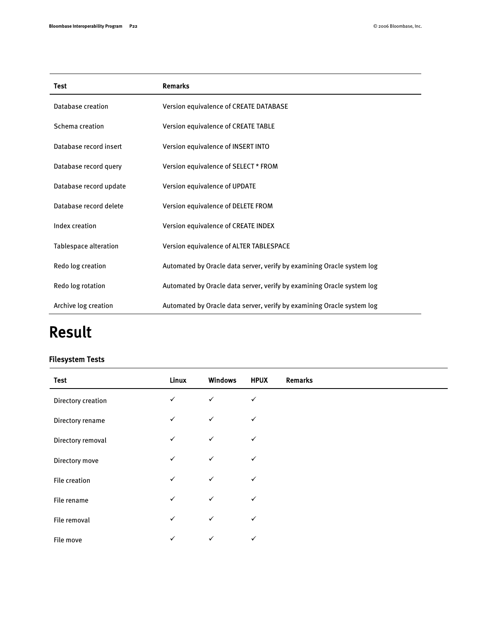| <b>Test</b>                  | <b>Remarks</b>                                                         |
|------------------------------|------------------------------------------------------------------------|
| Database creation            | Version equivalence of CREATE DATABASE                                 |
| Schema creation              | Version equivalence of CREATE TABLE                                    |
| Database record insert       | Version equivalence of INSERT INTO                                     |
| Database record query        | Version equivalence of SELECT * FROM                                   |
| Database record update       | Version equivalence of UPDATE                                          |
| Database record delete       | Version equivalence of DELETE FROM                                     |
| Index creation               | Version equivalence of CREATE INDEX                                    |
| <b>Tablespace alteration</b> | Version equivalence of ALTER TABLESPACE                                |
| Redo log creation            | Automated by Oracle data server, verify by examining Oracle system log |
| Redo log rotation            | Automated by Oracle data server, verify by examining Oracle system log |
| Archive log creation         | Automated by Oracle data server, verify by examining Oracle system log |

### Result

#### Filesystem Tests

| <b>Test</b>        | Linux        | <b>Windows</b> | <b>HPUX</b>  | <b>Remarks</b> |
|--------------------|--------------|----------------|--------------|----------------|
| Directory creation | $\checkmark$ | $\checkmark$   | $\checkmark$ |                |
| Directory rename   | $\checkmark$ | $\checkmark$   | $\checkmark$ |                |
| Directory removal  | $\checkmark$ | $\checkmark$   | $\checkmark$ |                |
| Directory move     | $\checkmark$ | $\checkmark$   | $\checkmark$ |                |
| File creation      | $\checkmark$ | $\checkmark$   | ✓            |                |
| File rename        | $\checkmark$ | $\checkmark$   | $\checkmark$ |                |
| File removal       | $\checkmark$ | $\checkmark$   | $\checkmark$ |                |
| File move          | $\checkmark$ | $\checkmark$   | $\checkmark$ |                |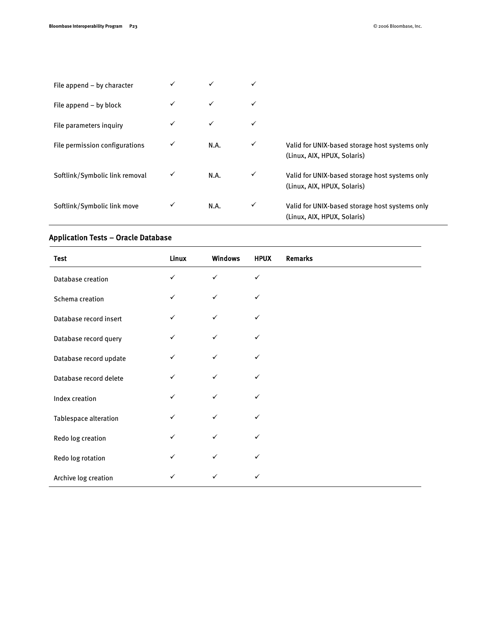| File append $-$ by character   |              |      |   |                                                                               |
|--------------------------------|--------------|------|---|-------------------------------------------------------------------------------|
| File append $-$ by block       | ✓            | ✓    |   |                                                                               |
| File parameters inquiry        | $\checkmark$ | ✓    | ✓ |                                                                               |
| File permission configurations | ✓            | N.A. | ✓ | Valid for UNIX-based storage host systems only<br>(Linux, AIX, HPUX, Solaris) |
| Softlink/Symbolic link removal |              | N.A. | ✓ | Valid for UNIX-based storage host systems only<br>(Linux, AIX, HPUX, Solaris) |
| Softlink/Symbolic link move    | ✓            | N.A. | ✓ | Valid for UNIX-based storage host systems only<br>(Linux, AIX, HPUX, Solaris) |

#### Application Tests – Oracle Database

| <b>Test</b>            | Linux        | <b>Windows</b> | <b>HPUX</b>  | <b>Remarks</b> |
|------------------------|--------------|----------------|--------------|----------------|
| Database creation      | $\checkmark$ | $\checkmark$   | $\checkmark$ |                |
| Schema creation        | ✓            | $\checkmark$   | ✓            |                |
| Database record insert | ✓            | $\checkmark$   | $\checkmark$ |                |
| Database record query  | $\checkmark$ | $\checkmark$   | ✓            |                |
| Database record update | ✓            | ✓              | ✓            |                |
| Database record delete | $\checkmark$ | $\checkmark$   | ✓            |                |
| Index creation         | ✓            | $\checkmark$   | $\checkmark$ |                |
| Tablespace alteration  | ✓            | $\checkmark$   | ✓            |                |
| Redo log creation      | ✓            | $\checkmark$   | ✓            |                |
| Redo log rotation      | $\checkmark$ | $\checkmark$   | ✓            |                |
| Archive log creation   | ✓            | $\checkmark$   | ✓            |                |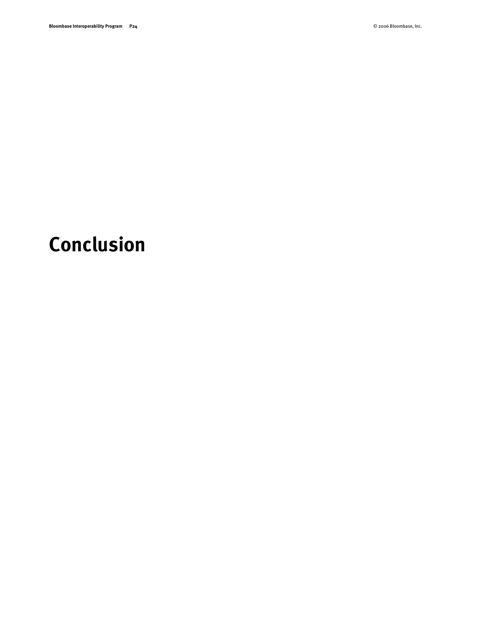# <span id="page-23-0"></span>**Conclusion**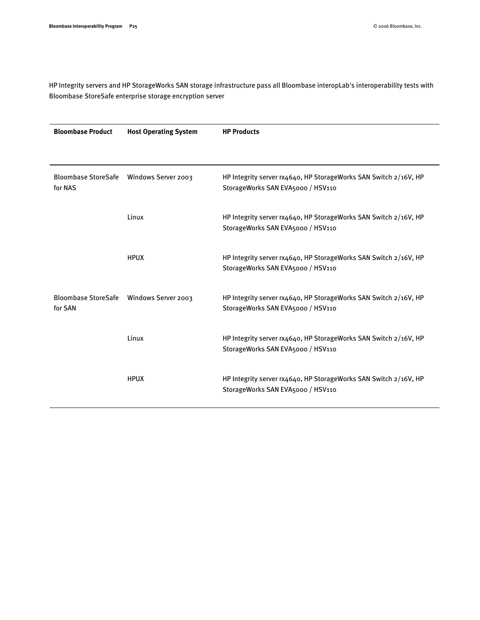HP Integrity servers and HP StorageWorks SAN storage infrastructure pass all Bloombase interopLab's interoperability tests with Bloombase StoreSafe enterprise storage encryption server

| <b>Bloombase Product</b> | <b>Host Operating System</b>            | <b>HP Products</b>                                                                                    |
|--------------------------|-----------------------------------------|-------------------------------------------------------------------------------------------------------|
|                          |                                         |                                                                                                       |
| for NAS                  | Bloombase StoreSafe Windows Server 2003 | HP Integrity server rx4640, HP StorageWorks SAN Switch 2/16V, HP<br>StorageWorks SAN EVA5000 / HSV110 |
|                          | Linux                                   | HP Integrity server rx4640, HP StorageWorks SAN Switch 2/16V, HP<br>StorageWorks SAN EVA5000 / HSV110 |
|                          | <b>HPUX</b>                             | HP Integrity server rx4640, HP StorageWorks SAN Switch 2/16V, HP<br>StorageWorks SAN EVA5000 / HSV110 |
| for SAN                  | Bloombase StoreSafe Windows Server 2003 | HP Integrity server rx4640, HP StorageWorks SAN Switch 2/16V, HP<br>StorageWorks SAN EVA5000 / HSV110 |
|                          | Linux                                   | HP Integrity server rx4640, HP StorageWorks SAN Switch 2/16V, HP<br>StorageWorks SAN EVA5000 / HSV110 |
|                          | <b>HPUX</b>                             | HP Integrity server rx4640, HP StorageWorks SAN Switch 2/16V, HP<br>StorageWorks SAN EVA5000 / HSV110 |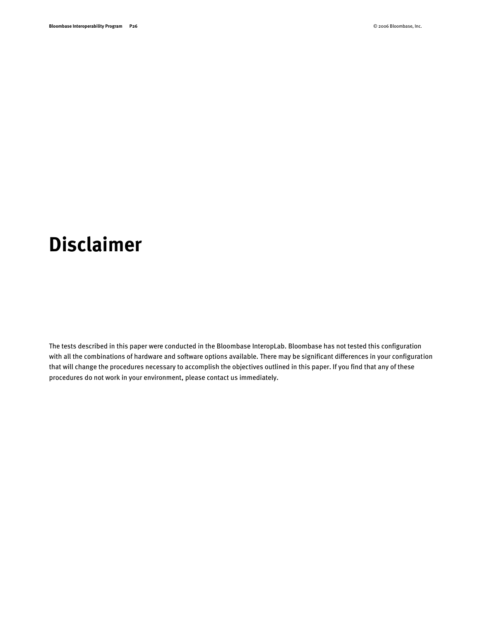### <span id="page-25-0"></span>**Disclaimer**

The tests described in this paper were conducted in the Bloombase InteropLab. Bloombase has not tested this configuration with all the combinations of hardware and software options available. There may be significant differences in your configuration that will change the procedures necessary to accomplish the objectives outlined in this paper. If you find that any of these procedures do not work in your environment, please contact us immediately.